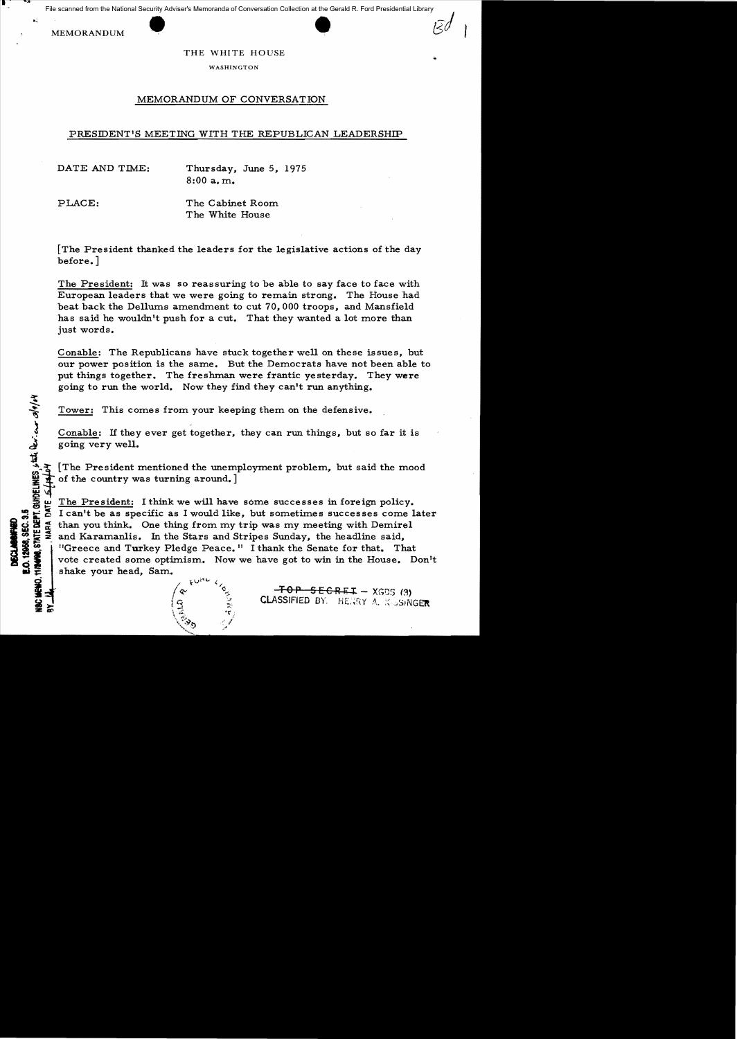File scanned from the National Security Adviser's Memoranda of Conversation Collection at the Gerald R. Ford Presidential Library

MEMORANDUM

.~

o 

**GUHDELIN** 

**DECLABORTED**<br>E.O. 12958, SEC. 3.5

.. .'"

## THE WHITE HOUSE

WASHINGTON

## MEMORANDUM OF CONVERSATION

## PRESIDENT'S MEETING WITH THE REPUBLICAN LEADERSHIP

DATE AND TIME: Thursday, June 5, 1975 8:00 a.m.

PLACE: The Cabinet Room The White House

[The President thanked the leaders for the legislative actions of the day before. ]

The President: It was so reassuring to be able to say face to face with European leaders that we were going to remain strong. The House had beat back the Dellums amendment to cut 70,000 troops, and Mansfield has said he wouldn't push for a cut. That they wanted a lot more than just words.

Conable: The Republicans have stuck together well on these issues, but our power position is the same. But the Democrats have not been able to put things together. The freshman were frantic yesterday. They were going to run the world. Now they find they can't run anything.

Tower: This comes from your keeping them on the defensive.

Conable: If they ever get together, they can run things, but so far it is going very well.

[The President mentioned the unemployment problem, but said the mood Tower: This comes from your keep<br>  $\frac{1}{3}$ <br>
Conable: If they ever get together,<br>
going very well.<br>
The President mentioned the unemy<br>
of the country was turning around.]

 $\frac{w}{c}$  The President: I think we will have some successes in foreign policy.<br>I can't be as specific as I would like, but sometimes successes come l  $\frac{3}{4}$  I can't be as specific as I would like, but sometimes successes come later  $\frac{3}{4}$  than you think. One thing from my trip was my meeting with Demirel  $\frac{3}{4}$  and Karamanlis. In the Stars and Stripes Sunday, than you think. One thing from my trip was my meeting with Demirel and Karamanlis. In the Stars and Stripes Sunday, the headline said, <sup>11</sup>Greece and Turkey Pledge Peace. <sup>11</sup> I thank the Senate for that. That vote created some optimism. Now we have got to win in the House. Don't shake your head, Sam.

 $\frac{1}{2}$  /  $\frac{1}{2}$  /  $\frac{1}{2}$  /  $\frac{1}{2}$  /  $\frac{1}{2}$  /  $\frac{1}{2}$  /  $\frac{1}{2}$  /  $\frac{1}{2}$  /  $\frac{1}{2}$  /  $\frac{1}{2}$  /  $\frac{1}{2}$  /  $\frac{1}{2}$  /  $\frac{1}{2}$  /  $\frac{1}{2}$  /  $\frac{1}{2}$  /  $\frac{1}{2}$  /  $\frac{1}{2}$  /  $\frac{1}{2}$  /  $\frac{1$ ~

ie = ... :fo<del>p 5 E C R E T</del> = xgds (3) |<br>- ... ... ... 2 | CLASSIFIED BY. HERRY A, K-5SINGER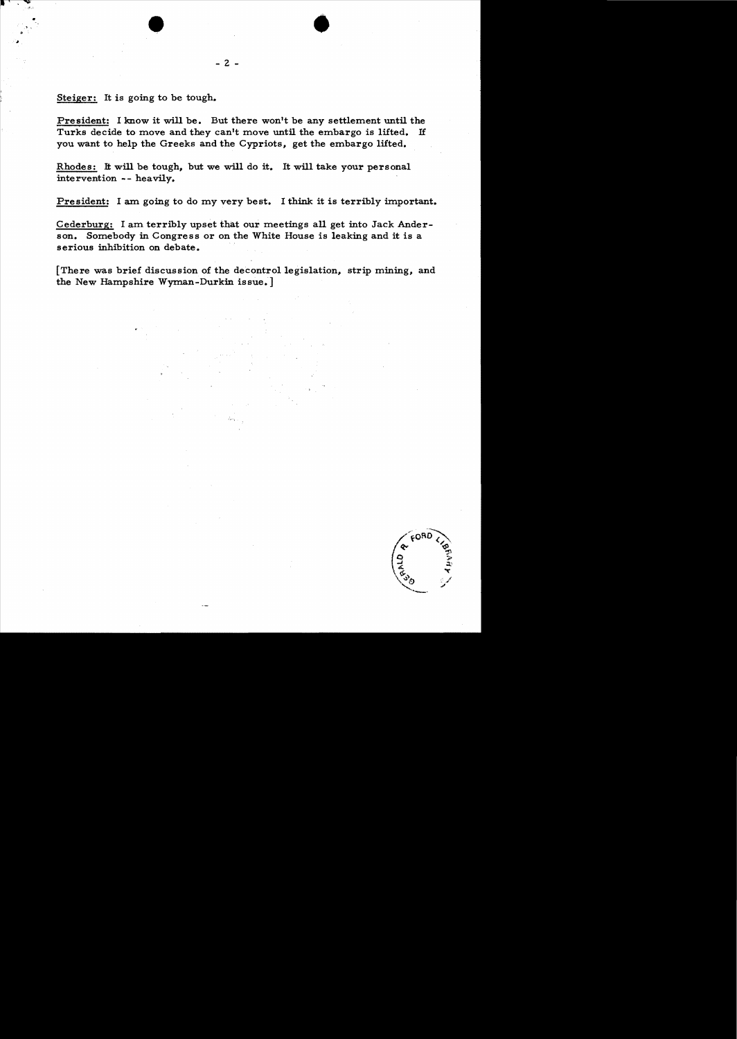Steiger: It is going to be tough.

President: I know it will be. But there won't be any settlement until the Turks decide to move and they can't move until the embargo is lifted. If you want to help the Greeks and the Cypriots, get the embargo lifted.

•

Rhodes: It will be tough, but we will do it. It will take your personal intervention -- heavily.

President: I am going to do my very best. I think it is terribly important.

Cederburg: I am terribly upset that our meetings all get into Jack Anderson. Somebody in Congress or on the White House is leaking and it is a serious inhibition on debate.

[There was brief discussion of the decontrol legislation, strip mining, and the New Hampshire Wyman-Durkin issue.]

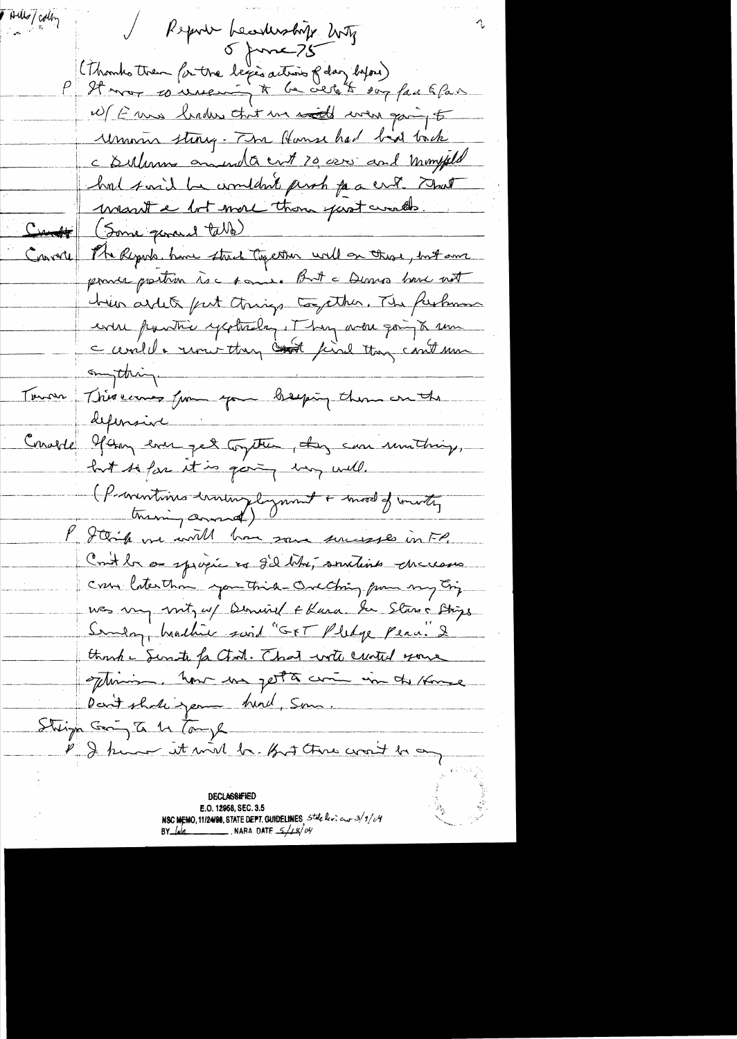Thills/colly / Report beastership buty (Thomhother for the legis action f day byou)<br>P It mor 10 minution à be credit son face & face W/ E mis linder that we south were going to Union sting. The Hunse had bid tack c Sulimons amunda ent 20 000 and momphed hat said be wouldn't perch for a crop. That mant e but more than past worlds. Cunt (Some general table) The Reports, have street Together will on those, but our Converte poince prechien is a some But a Dennes have not chein arteck furt things together. The furture even pourtre yesterday. They were going to un c ceviled & runi-they could they could min amything. This earnes from you breezing them on the Tourn defensive i Concerte 9 any ever get togeter, dans can unitaring, but to far it is going way will. (Proventions enoughlyment + mod of mothy P J think we will have some surveyes in FP. Cont la su spigie es g'il bita, soutients checkases crew laterthan you think Oreching from my Eriz was my mit, w/ Denviel + Kara. In Stars + Strips Sunday, heachier said "GFT Pledge Penn. 2 thank - Senste fa Chat. That with created your oftenion. Now we get to come in the Home Dan't shake year hund, Som. Stringh Georg To 11 Tomph P & him it will be fort three words be any **DECLASSIFIED** E.O. 12958, SEC. 3.5 NSC MEMO, 11/24/98, STATE DEPT. GUIDELINES State levi aux 3/9/04 NARA DATE  $5/18/04$ BY <u>laid</u>